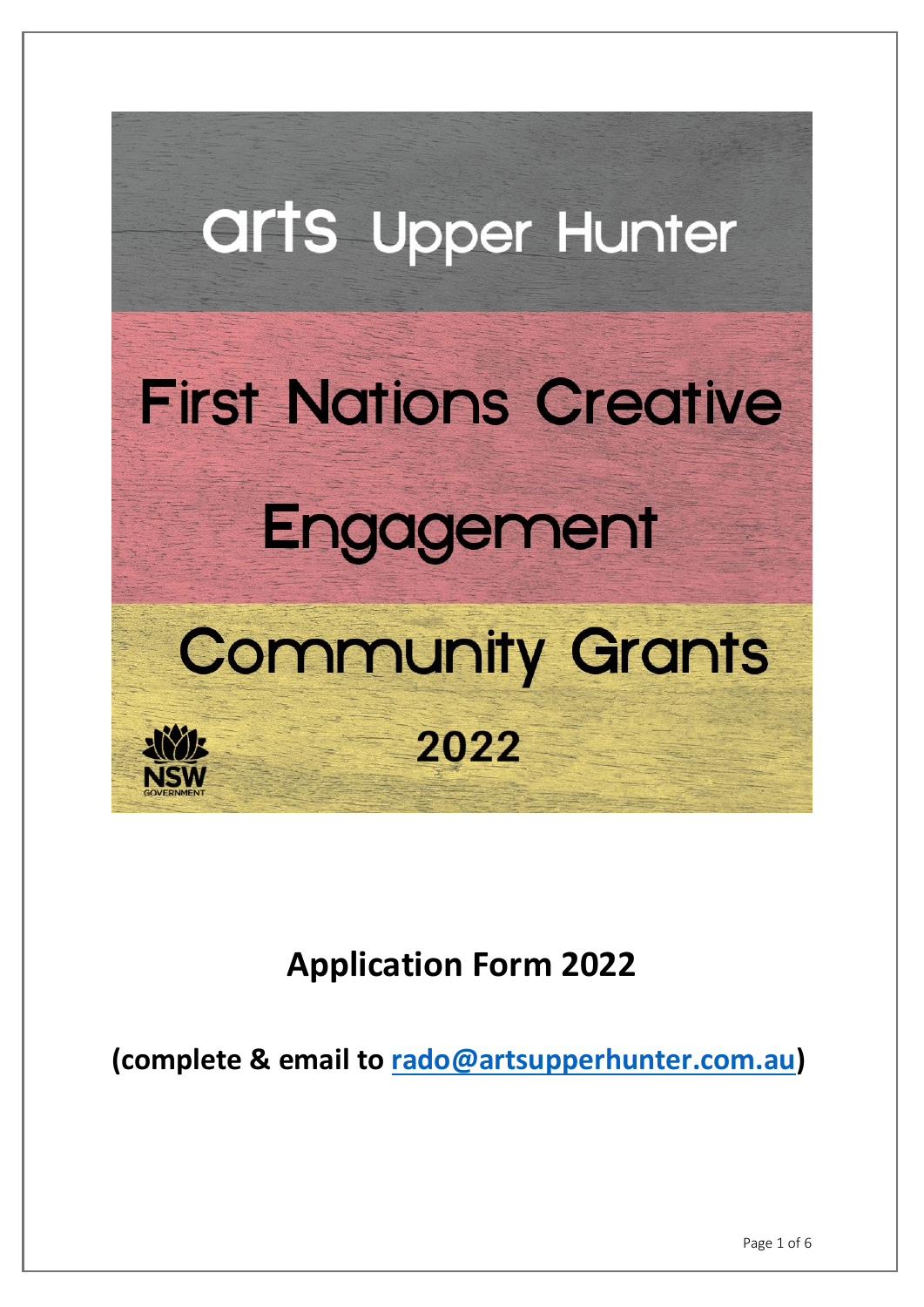

**Application Form 2022**

**(complete & email to rado@artsupperhunter.com.au)**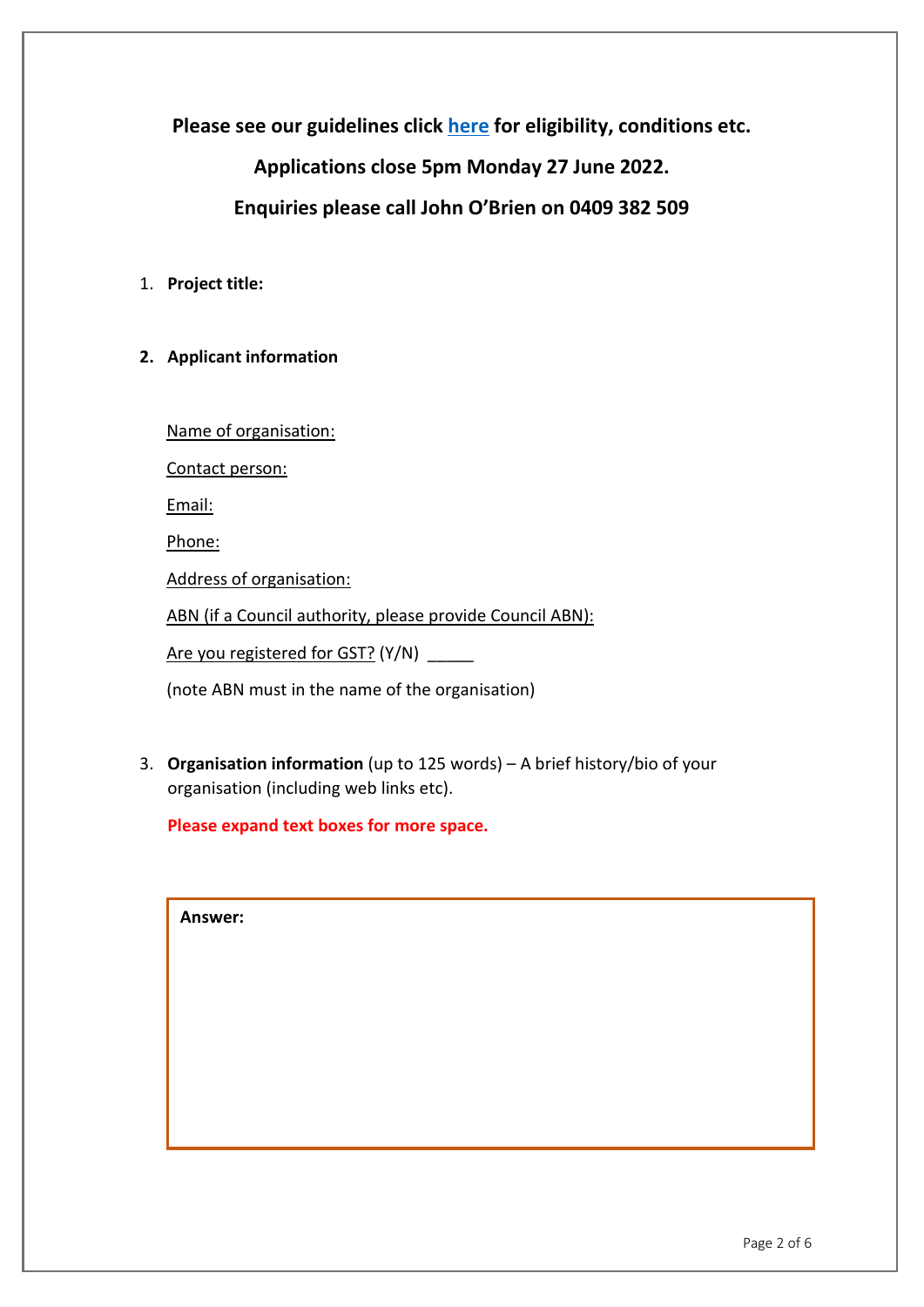**Please see our guidelines click [here](https://artsupperhunter.com/arts-upper-hunter-first-nations-creative-engagement-community-grants-2022/) for eligibility, conditions etc.**

**Applications close 5pm Monday 27 June 2022.**

**Enquiries please call John O'Brien on 0409 382 509**

- 1. **Project title:**
- **2. Applicant information**

Name of organisation:

Contact person:

Email:

Phone:

Address of organisation:

ABN (if a Council authority, please provide Council ABN):

Are you registered for GST? (Y/N) \_\_\_\_\_\_

(note ABN must in the name of the organisation)

3. **Organisation information** (up to 125 words) – A brief history/bio of your organisation (including web links etc).

**Please expand text boxes for more space.** 

**Answer:**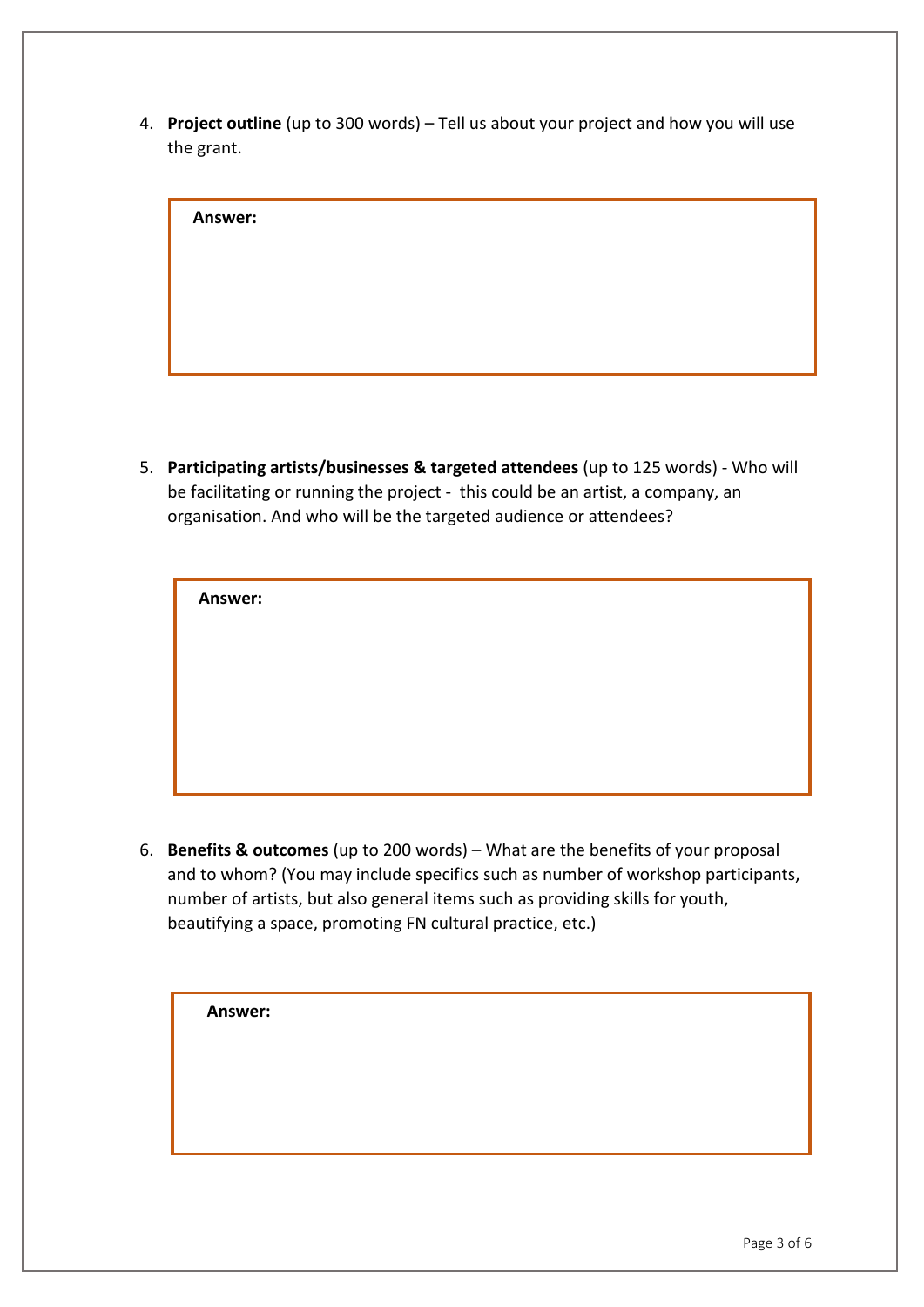4. **Project outline** (up to 300 words) – Tell us about your project and how you will use the grant.

| Answer: |  |  |  |
|---------|--|--|--|
|         |  |  |  |
|         |  |  |  |
|         |  |  |  |
|         |  |  |  |

5. **Participating artists/businesses & targeted attendees** (up to 125 words) - Who will be facilitating or running the project - this could be an artist, a company, an organisation. And who will be the targeted audience or attendees?

| <b>Answer:</b> |  |  |  |
|----------------|--|--|--|
|                |  |  |  |
|                |  |  |  |
|                |  |  |  |
|                |  |  |  |

6. **Benefits & outcomes** (up to 200 words) – What are the benefits of your proposal and to whom? (You may include specifics such as number of workshop participants, number of artists, but also general items such as providing skills for youth, beautifying a space, promoting FN cultural practice, etc.)

| Answer: |  |  |  |
|---------|--|--|--|
|         |  |  |  |
|         |  |  |  |
|         |  |  |  |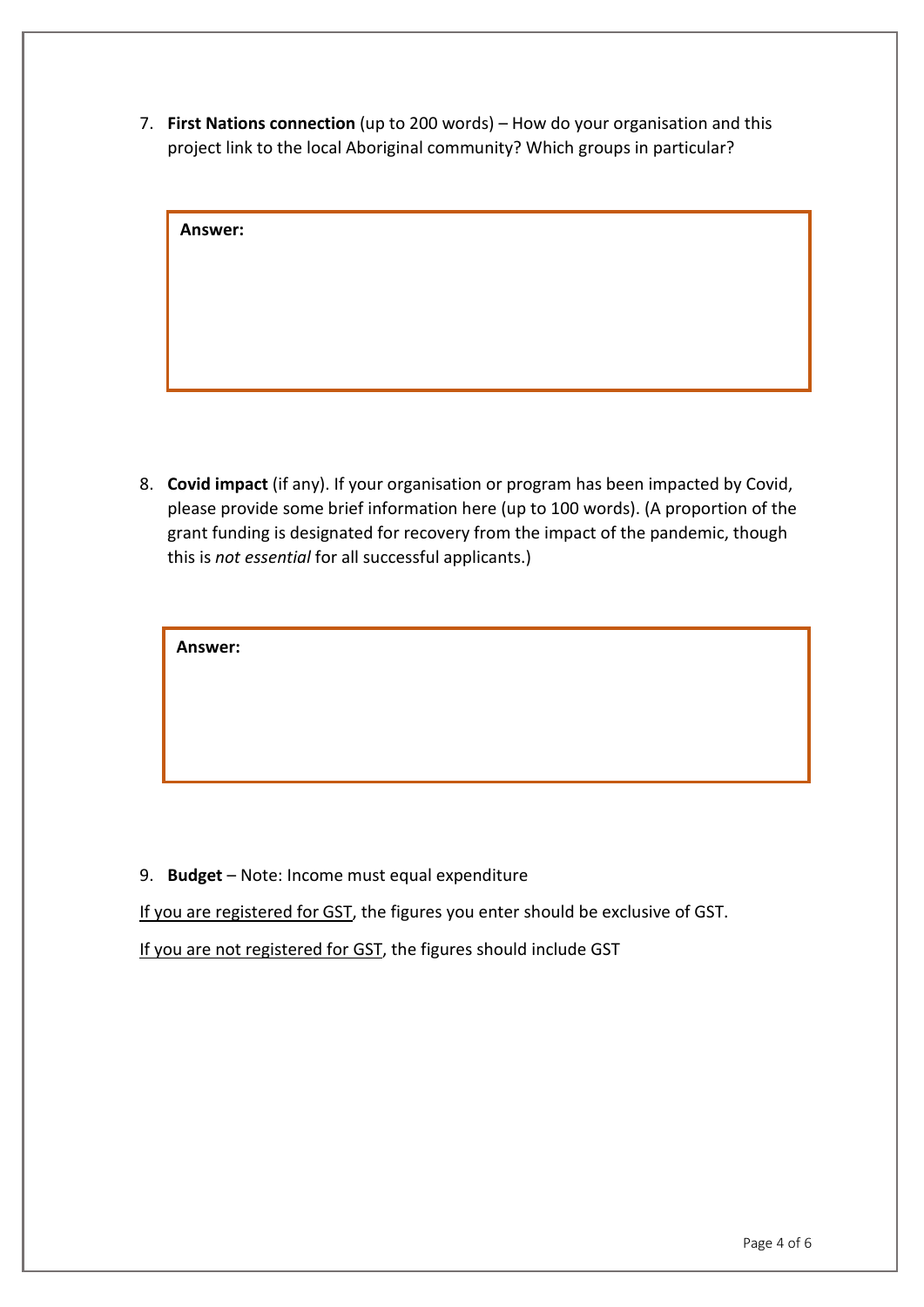7. **First Nations connection** (up to 200 words) – How do your organisation and this project link to the local Aboriginal community? Which groups in particular?

| <b>Answer:</b> |  |  |  |
|----------------|--|--|--|
|                |  |  |  |
|                |  |  |  |
|                |  |  |  |
|                |  |  |  |
|                |  |  |  |
|                |  |  |  |
|                |  |  |  |

8. **Covid impact** (if any). If your organisation or program has been impacted by Covid, please provide some brief information here (up to 100 words). (A proportion of the grant funding is designated for recovery from the impact of the pandemic, though this is *not essential* for all successful applicants.)

| Answer: |  |
|---------|--|
|---------|--|

9. **Budget** – Note: Income must equal expenditure

If you are registered for GST, the figures you enter should be exclusive of GST.

If you are not registered for GST, the figures should include GST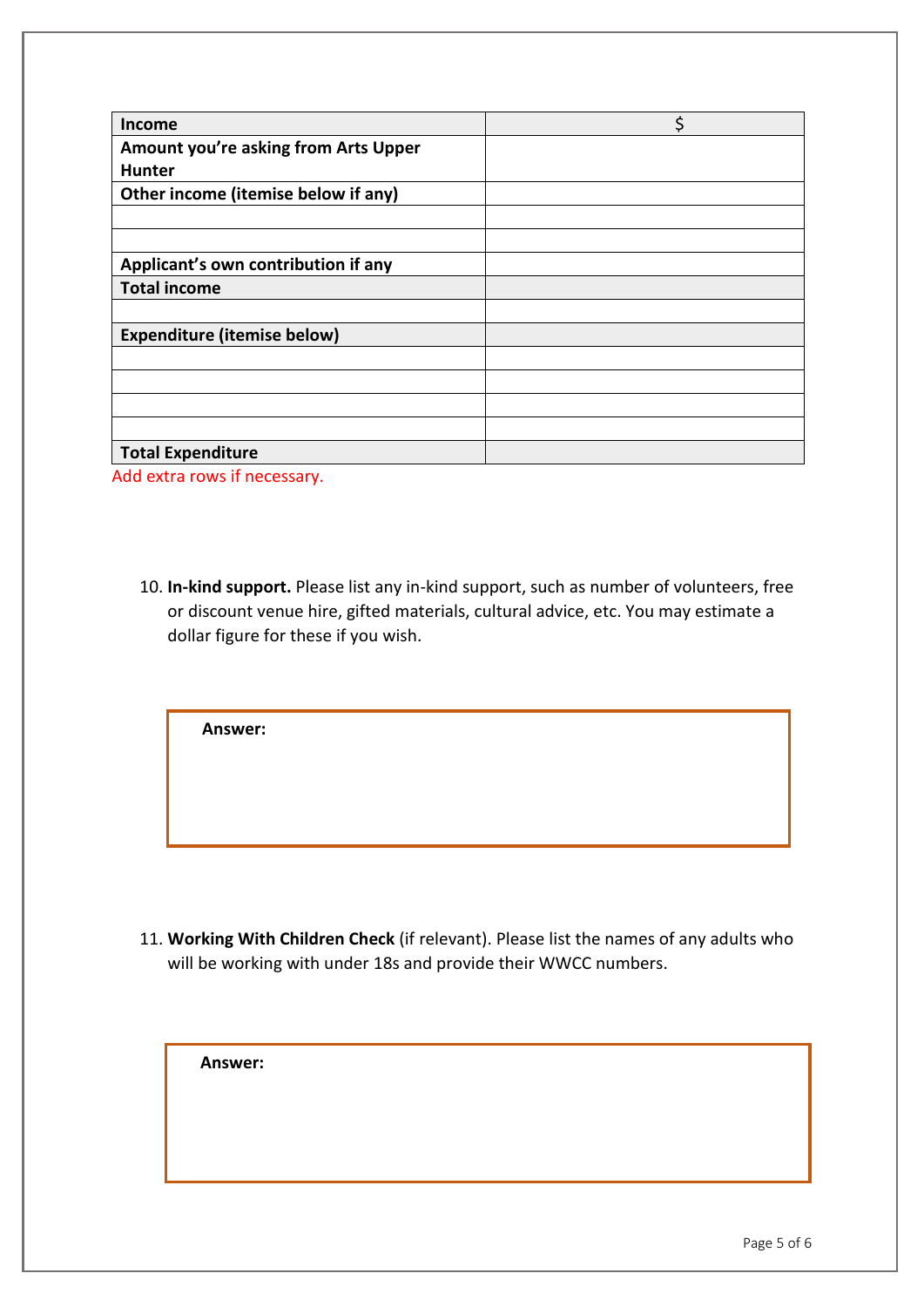| <b>Income</b>                               | \$ |
|---------------------------------------------|----|
| <b>Amount you're asking from Arts Upper</b> |    |
| <b>Hunter</b>                               |    |
| Other income (itemise below if any)         |    |
|                                             |    |
|                                             |    |
| Applicant's own contribution if any         |    |
| <b>Total income</b>                         |    |
|                                             |    |
| <b>Expenditure (itemise below)</b>          |    |
|                                             |    |
|                                             |    |
|                                             |    |
|                                             |    |
| <b>Total Expenditure</b>                    |    |
|                                             |    |

Add extra rows if necessary.

10. **In-kind support.** Please list any in-kind support, such as number of volunteers, free or discount venue hire, gifted materials, cultural advice, etc. You may estimate a dollar figure for these if you wish.

**Answer:** 

11. **Working With Children Check** (if relevant). Please list the names of any adults who will be working with under 18s and provide their WWCC numbers.